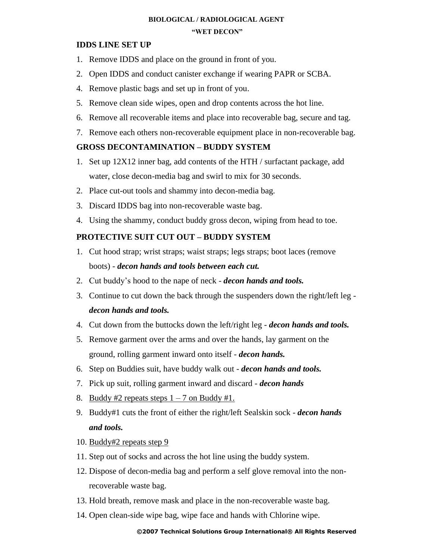## **BIOLOGICAL / RADIOLOGICAL AGENT "WET DECON"**

## **IDDS LINE SET UP**

- 1. Remove IDDS and place on the ground in front of you.
- 2. Open IDDS and conduct canister exchange if wearing PAPR or SCBA.
- 4. Remove plastic bags and set up in front of you.
- 5. Remove clean side wipes, open and drop contents across the hot line.
- 6. Remove all recoverable items and place into recoverable bag, secure and tag.
- 7. Remove each others non-recoverable equipment place in non-recoverable bag.

# **GROSS DECONTAMINATION – BUDDY SYSTEM**

- 1. Set up 12X12 inner bag, add contents of the HTH / surfactant package, add water, close decon-media bag and swirl to mix for 30 seconds.
- 2. Place cut-out tools and shammy into decon-media bag.
- 3. Discard IDDS bag into non-recoverable waste bag.
- 4. Using the shammy, conduct buddy gross decon, wiping from head to toe.

# **PROTECTIVE SUIT CUT OUT – BUDDY SYSTEM**

- 1. Cut hood strap; wrist straps; waist straps; legs straps; boot laces (remove boots) - *decon hands and tools between each cut.*
- 2. Cut buddy's hood to the nape of neck *decon hands and tools.*
- 3. Continue to cut down the back through the suspenders down the right/left leg *decon hands and tools.*
- 4. Cut down from the buttocks down the left/right leg *decon hands and tools.*
- 5. Remove garment over the arms and over the hands, lay garment on the ground, rolling garment inward onto itself - *decon hands.*
- 6. Step on Buddies suit, have buddy walk out *decon hands and tools.*
- 7. Pick up suit, rolling garment inward and discard *decon hands*
- 8. Buddy #2 repeats steps  $1 7$  on Buddy #1.
- 9. Buddy#1 cuts the front of either the right/left Sealskin sock *decon hands and tools.*
- 10. Buddy#2 repeats step 9
- 11. Step out of socks and across the hot line using the buddy system.
- 12. Dispose of decon-media bag and perform a self glove removal into the nonrecoverable waste bag.
- 13. Hold breath, remove mask and place in the non-recoverable waste bag.
- 14. Open clean-side wipe bag, wipe face and hands with Chlorine wipe.